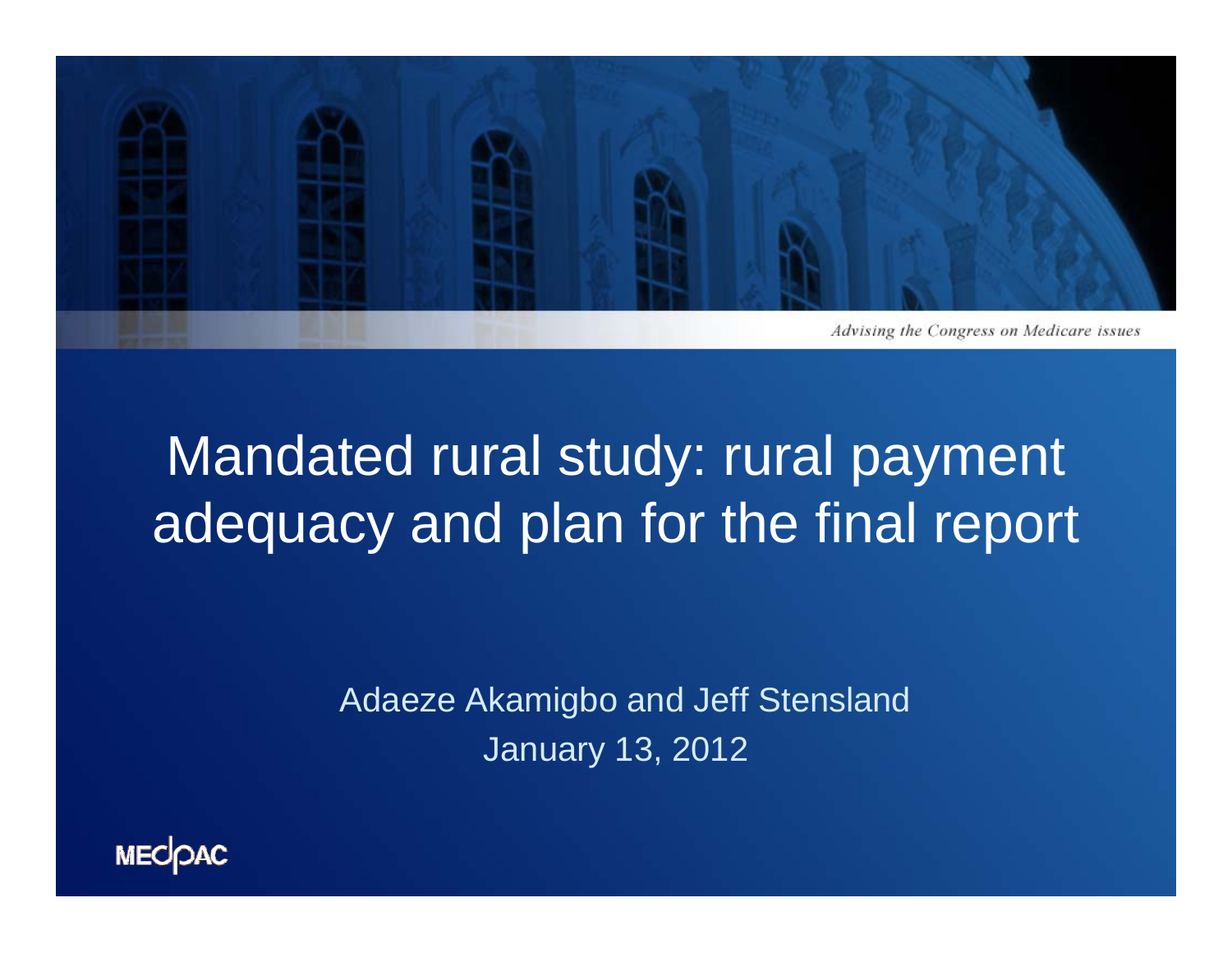

## Mandated rural study: rural payment adequacy and plan for the final report

Adaeze Akamigbo and Jeff Stensland January 13, 2012

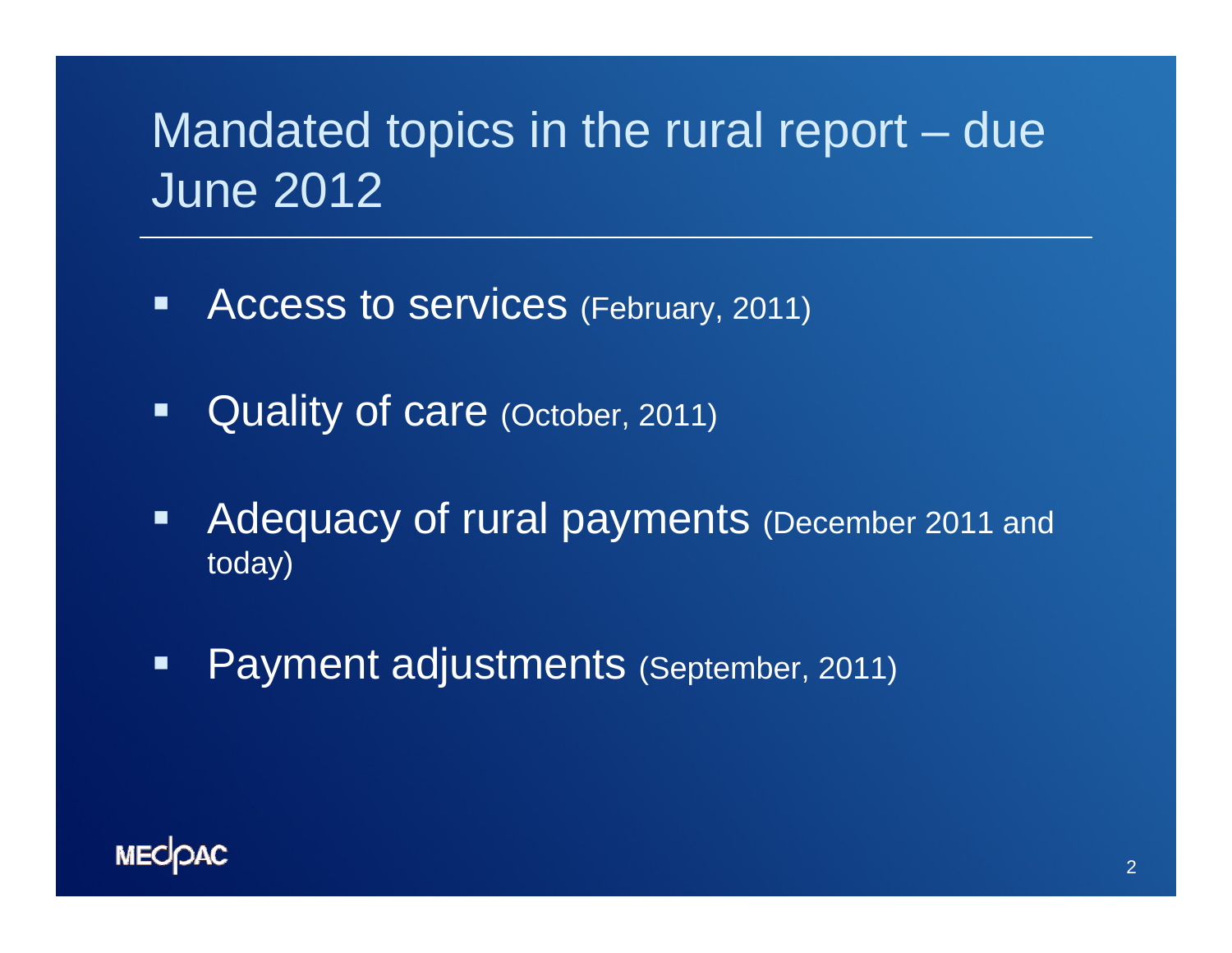### Mandated topics in the rural report – due June 2012

- $\blacksquare$ Access to services (February, 2011)
- $\blacksquare$ Quality of care (October, 2011)
- $\blacksquare$  Adequacy of rural payments (December 2011 and today)
- $\blacksquare$ Payment adjustments (September, 2011)

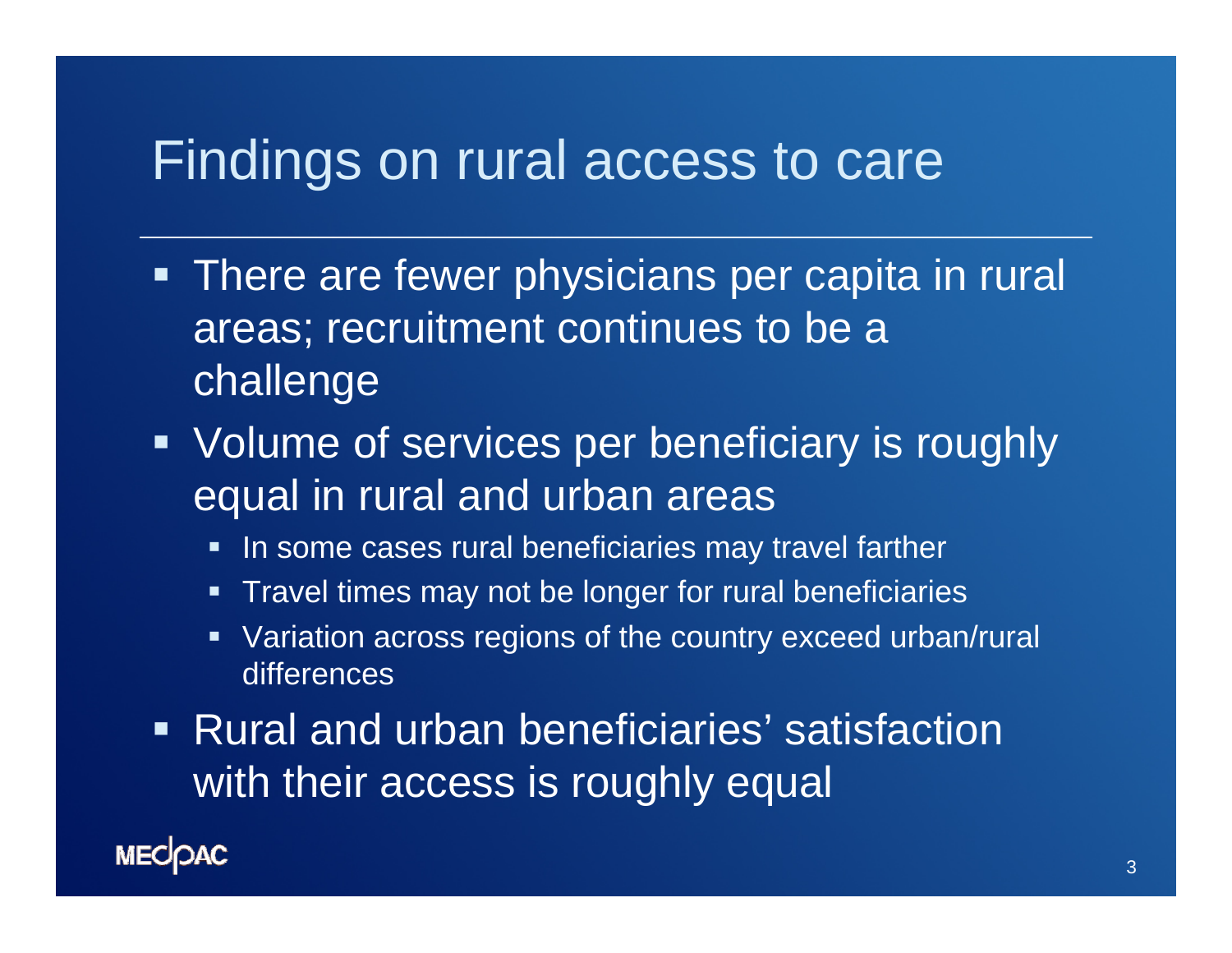#### Findings on rural access to care

- **There are fewer physicians per capita in rural** areas; recruitment continues to be a challenge
- **Volume of services per beneficiary is roughly** equal in rural and urban areas
	- **IF In some cases rural beneficiaries may travel farther**
	- **Travel times may not be longer for rural beneficiaries**
	- Variation across regions of the country exceed urban/rural differences
- **Rural and urban beneficiaries' satisfaction** with their access is roughly equal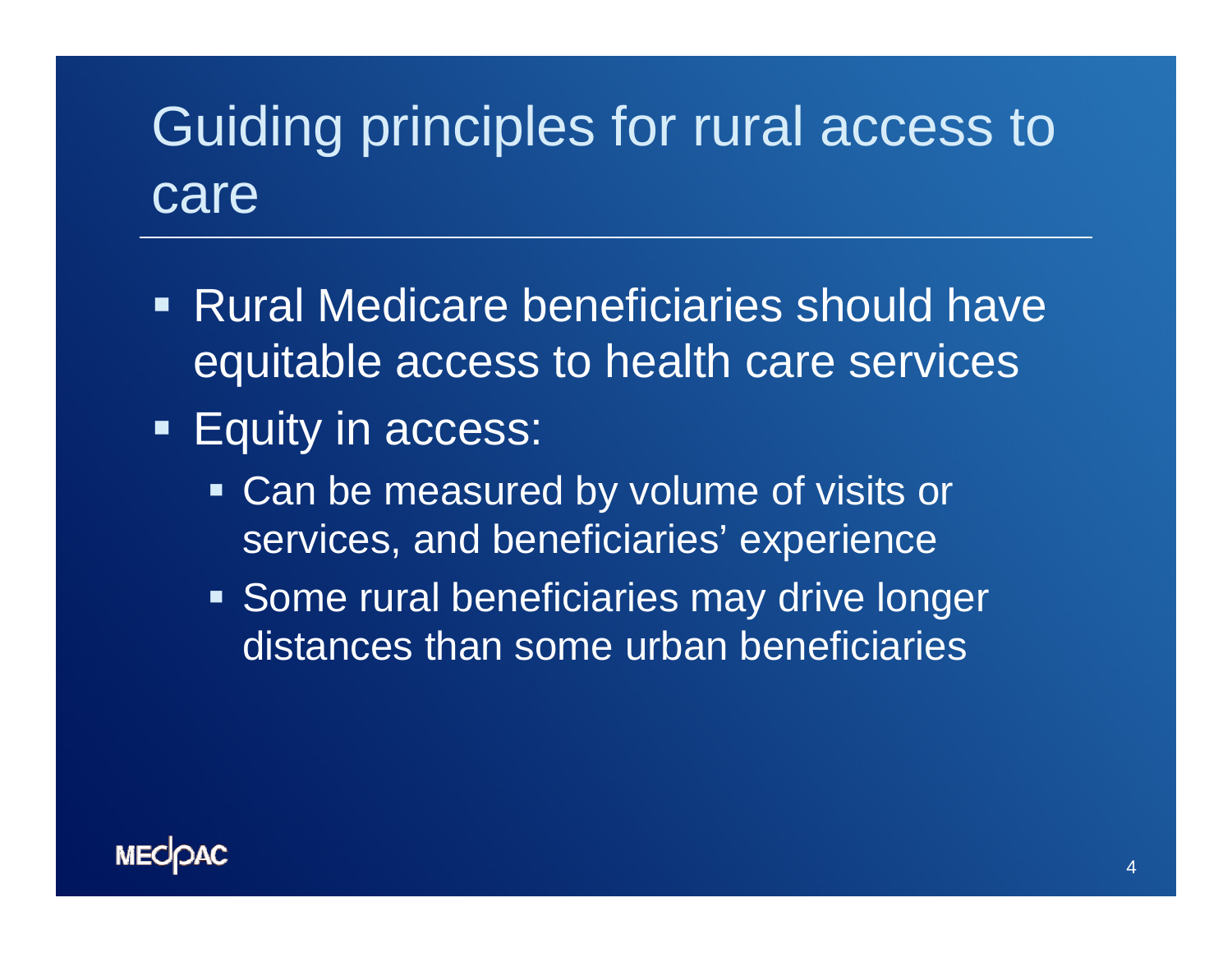## Guiding principles for rural access to care

- Rural Medicare beneficiaries should have equitable access to health care services
- **Equity in access:** 
	- Can be measured by volume of visits or services, and beneficiaries' experience
	- **Some rural beneficiaries may drive longer** distances than some urban beneficiaries

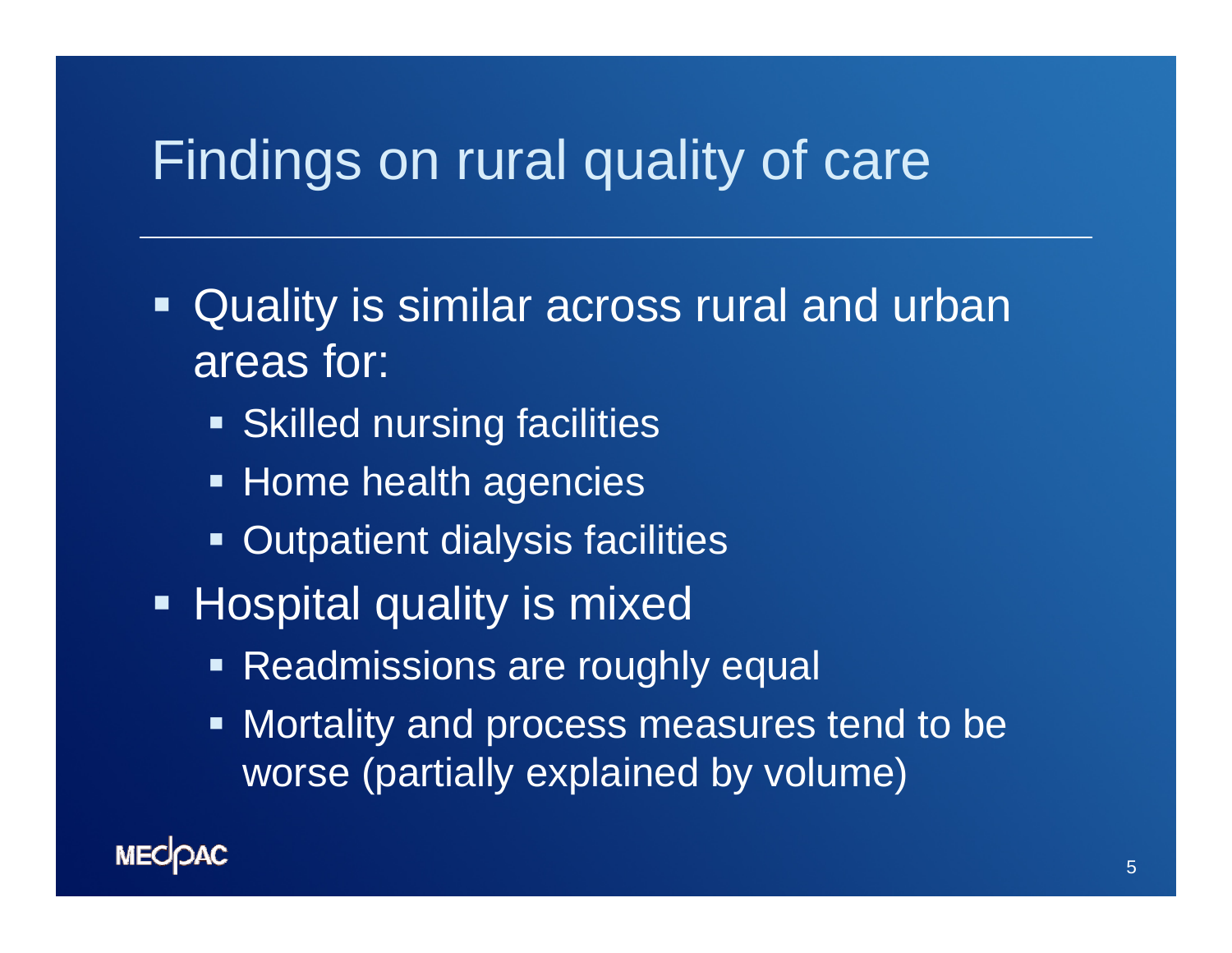#### Findings on rural quality of care

- Ξ Quality is similar across rural and urban areas for:
	- **Skilled nursing facilities**
	- **Example Home health agencies**
	- **Outpatient dialysis facilities**
- **Hospital quality is mixed** 
	- **Readmissions are roughly equal**
	- $\blacksquare$  Mortality and process measures tend to be worse (partially explained by volume)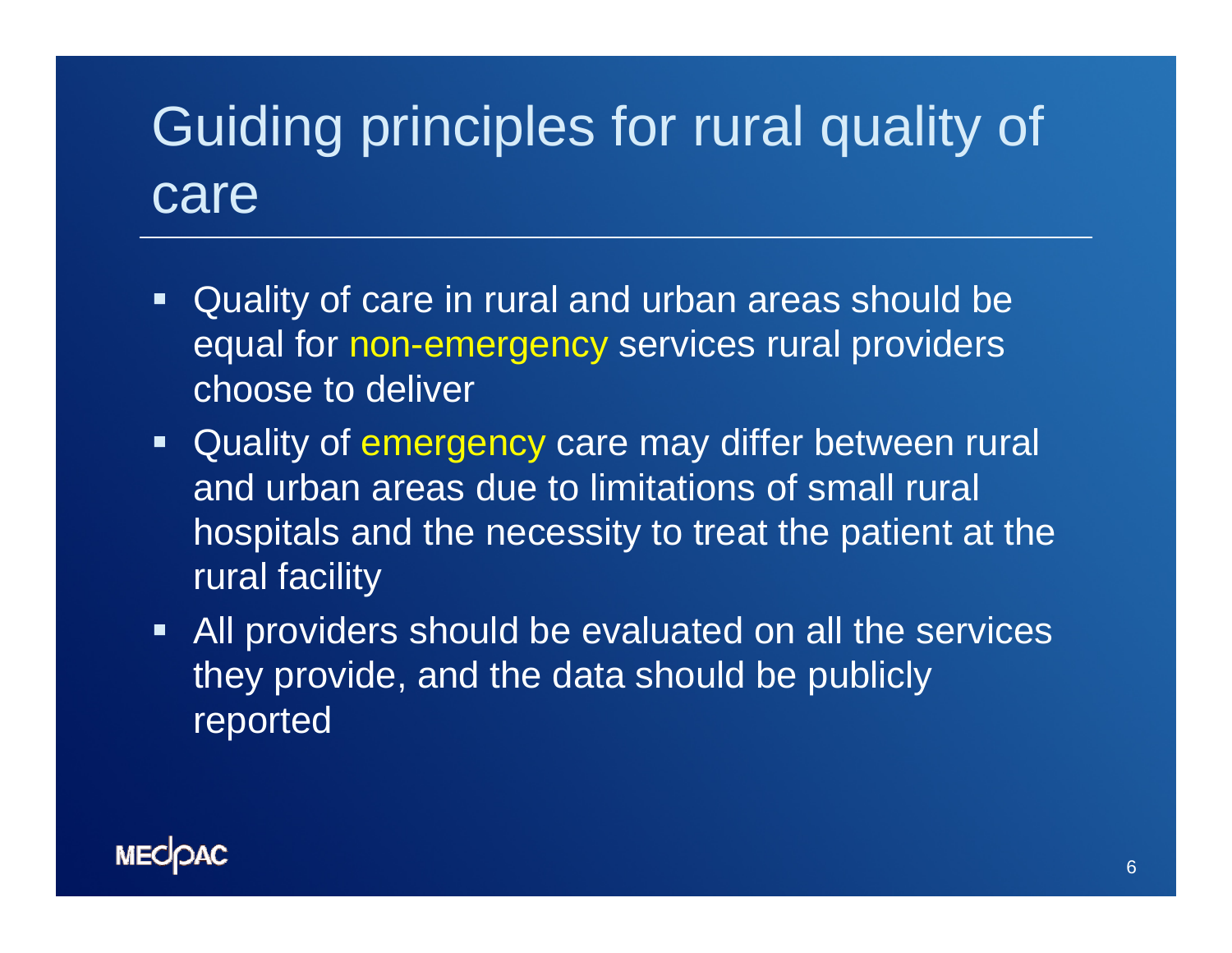# Guiding principles for rural quality of care

- Quality of care in rural and urban areas should be equal for non-emergency services rural providers choose to deliver
- **Quality of emergency care may differ between rural** and urban areas due to limitations of small rural hospitals and the necessity to treat the patient at the rural facility
- All providers should be evaluated on all the services they provide, and the data should be publicly reported

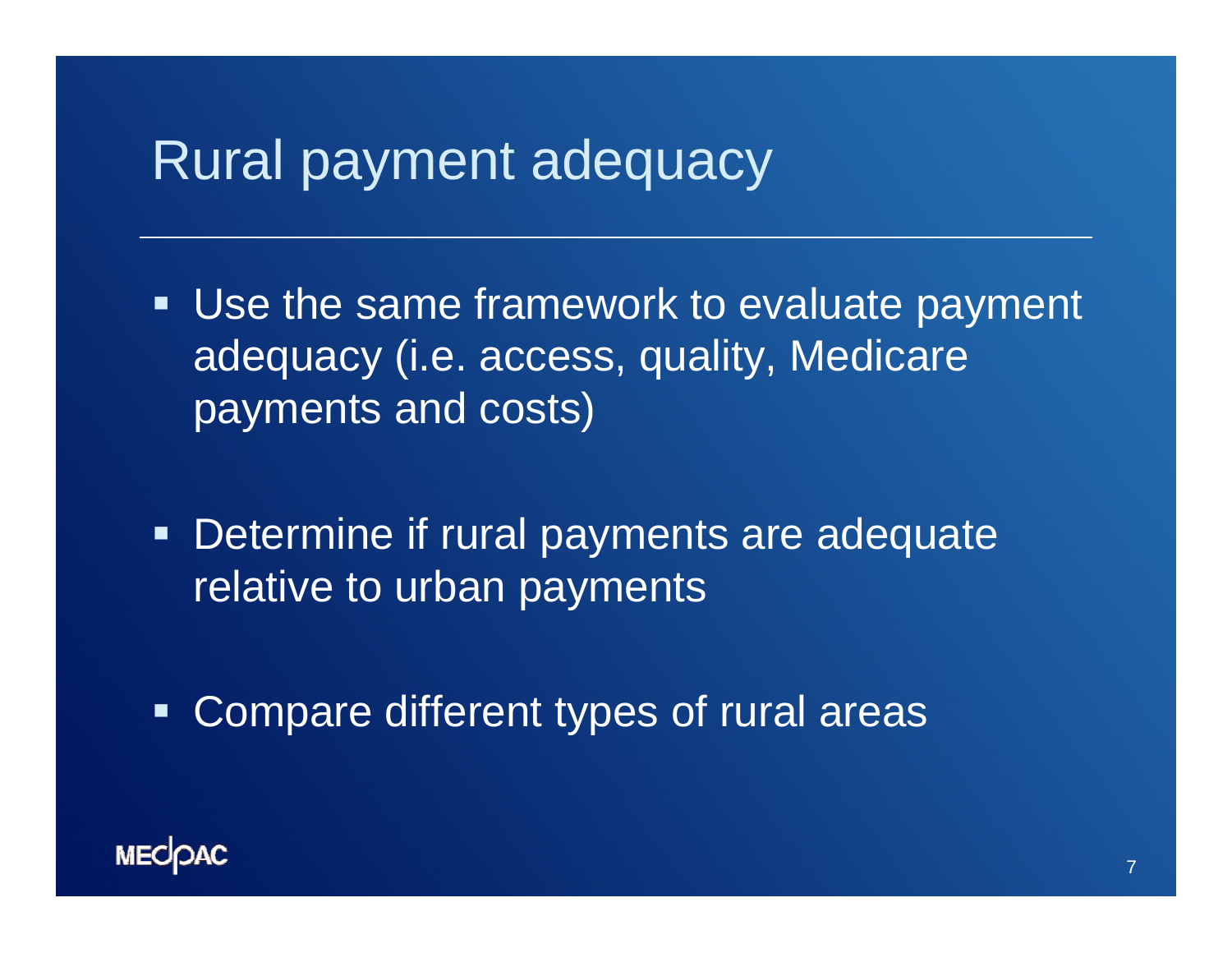#### Rural payment adequacy

- **Use the same framework to evaluate payment** adequacy (i.e. access, quality, Medicare payments and costs)
- **Determine if rural payments are adequate** relative to urban payments
- $\blacksquare$ Compare different types of rural areas

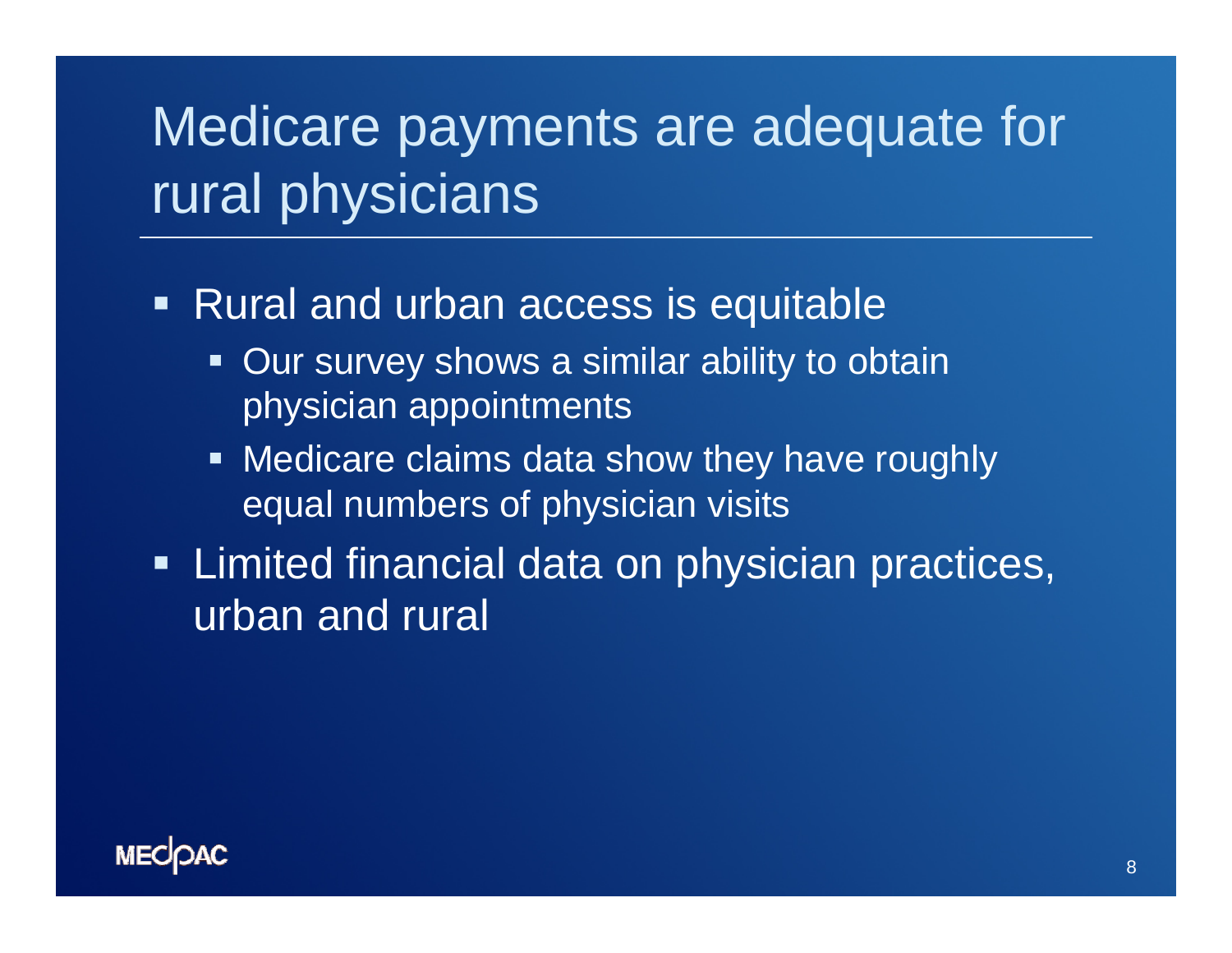## Medicare payments are adequate for rural physicians

- Rural and urban access is equitable
	- **Our survey shows a similar ability to obtain** physician appointments
	- **Medicare claims data show they have roughly** equal numbers of physician visits
- **Example 1** Limited financial data on physician practices, urban and rural

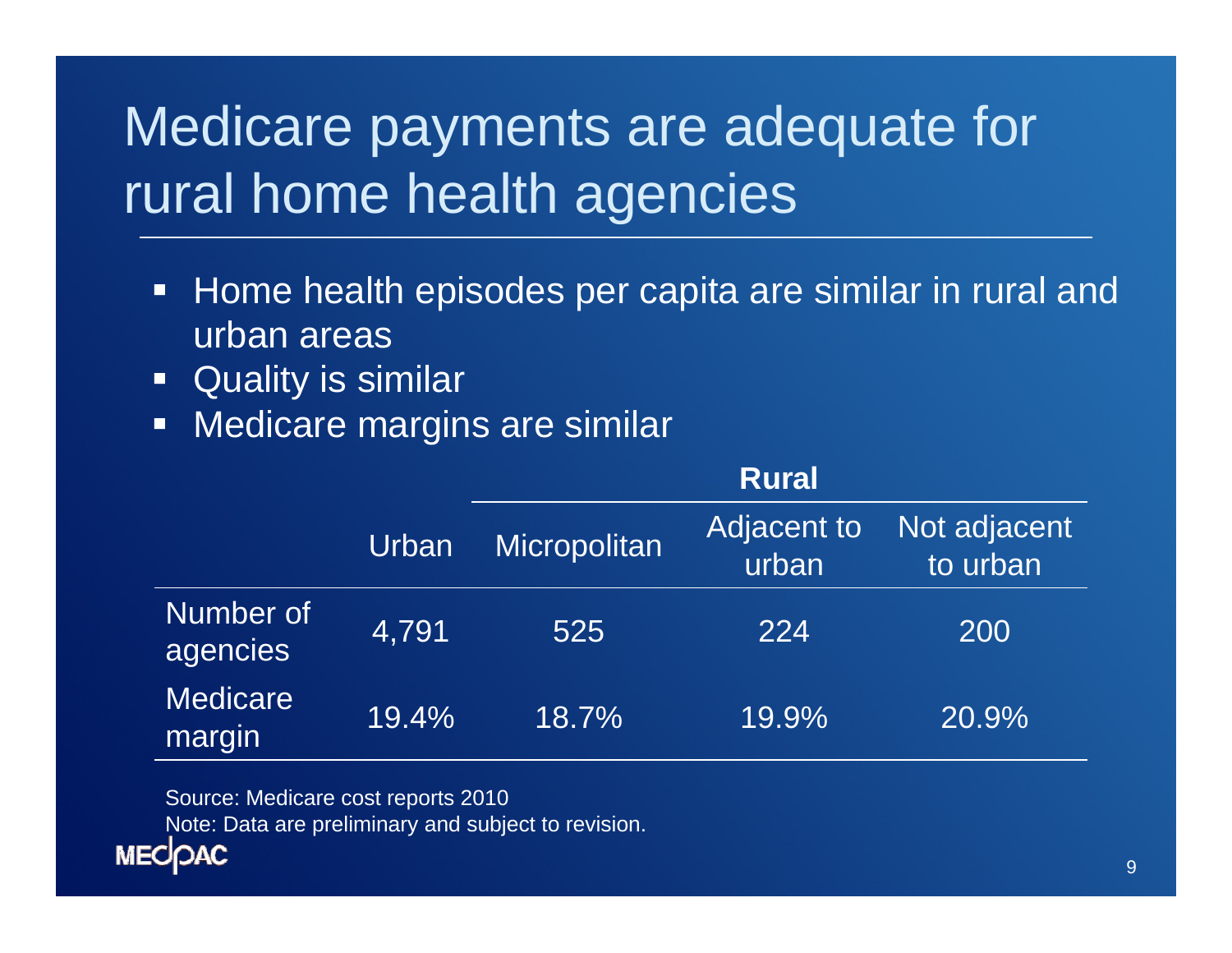# Medicare payments are adequate for rural home health agencies

- $\Box$  Home health episodes per capita are similar in rural and urban areas
- $\Box$ Quality is similar
- $\Box$ Medicare margins are similar

|                           |       | <b>Rural</b> |                      |                          |  |
|---------------------------|-------|--------------|----------------------|--------------------------|--|
|                           | Urban | Micropolitan | Adjacent to<br>urban | Not adjacent<br>to urban |  |
| Number of<br>agencies     | 4,791 | 525          | 224                  | 200                      |  |
| <b>Medicare</b><br>margin | 19.4% | 18.7%        | 19.9%                | 20.9%                    |  |

Source: Medicare cost reports 2010

Note: Data are preliminary and subject to revision.

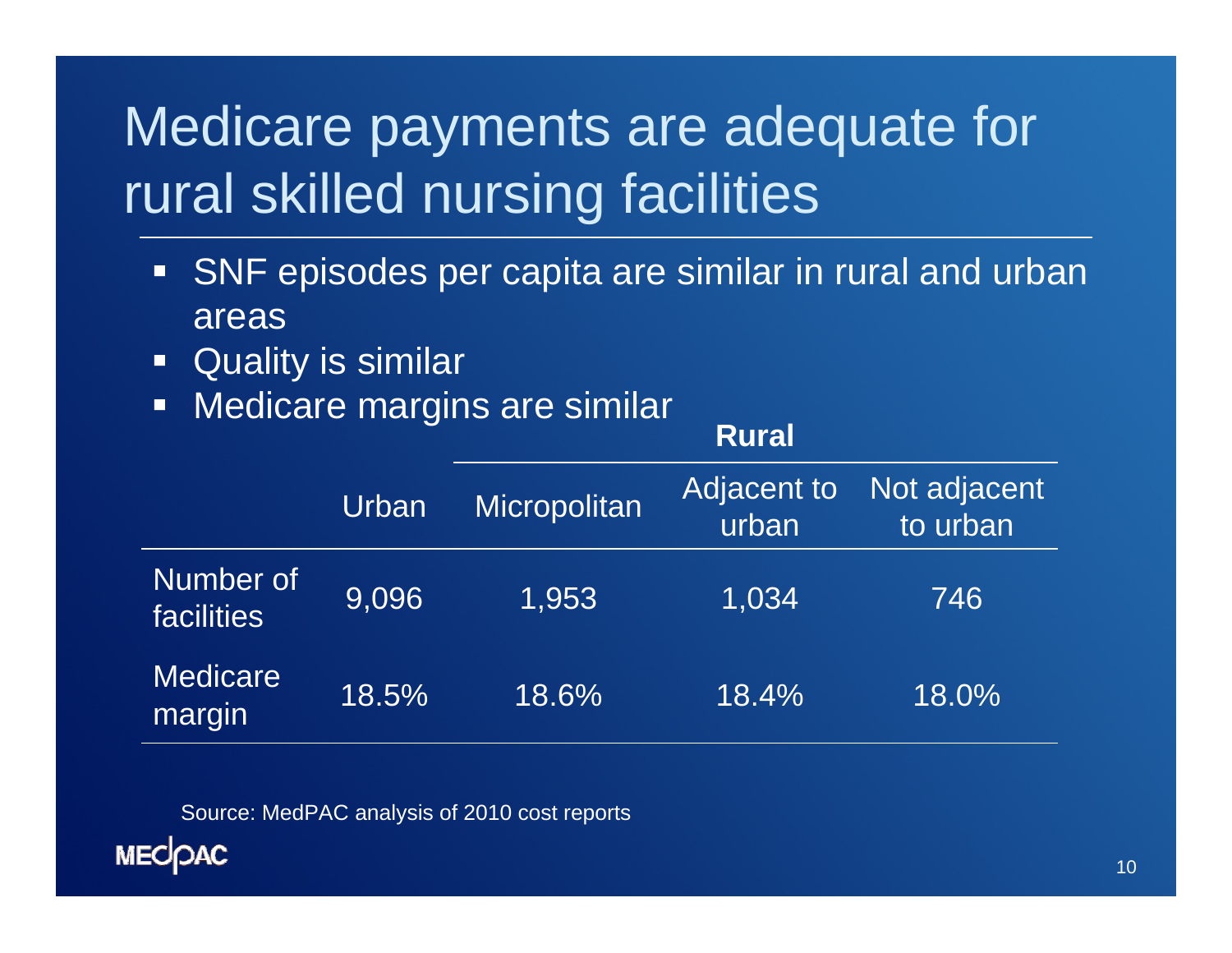# Medicare payments are adequate for rural skilled nursing facilities

- **SNF** episodes per capita are similar in rural and urban areas
- $\Box$ Quality is similar
- $\Box$ Medicare margins are similar

|                                |       | <b>Rural</b> |                      |                          |
|--------------------------------|-------|--------------|----------------------|--------------------------|
|                                | Urban | Micropolitan | Adjacent to<br>urban | Not adjacent<br>to urban |
| Number of<br><b>facilities</b> | 9,096 | 1,953        | 1,034                | 746                      |
| <b>Medicare</b><br>margin      | 18.5% | 18.6%        | 18.4%                | 18.0%                    |

Source: MedPAC analysis of 2010 cost reports

**MECOAC**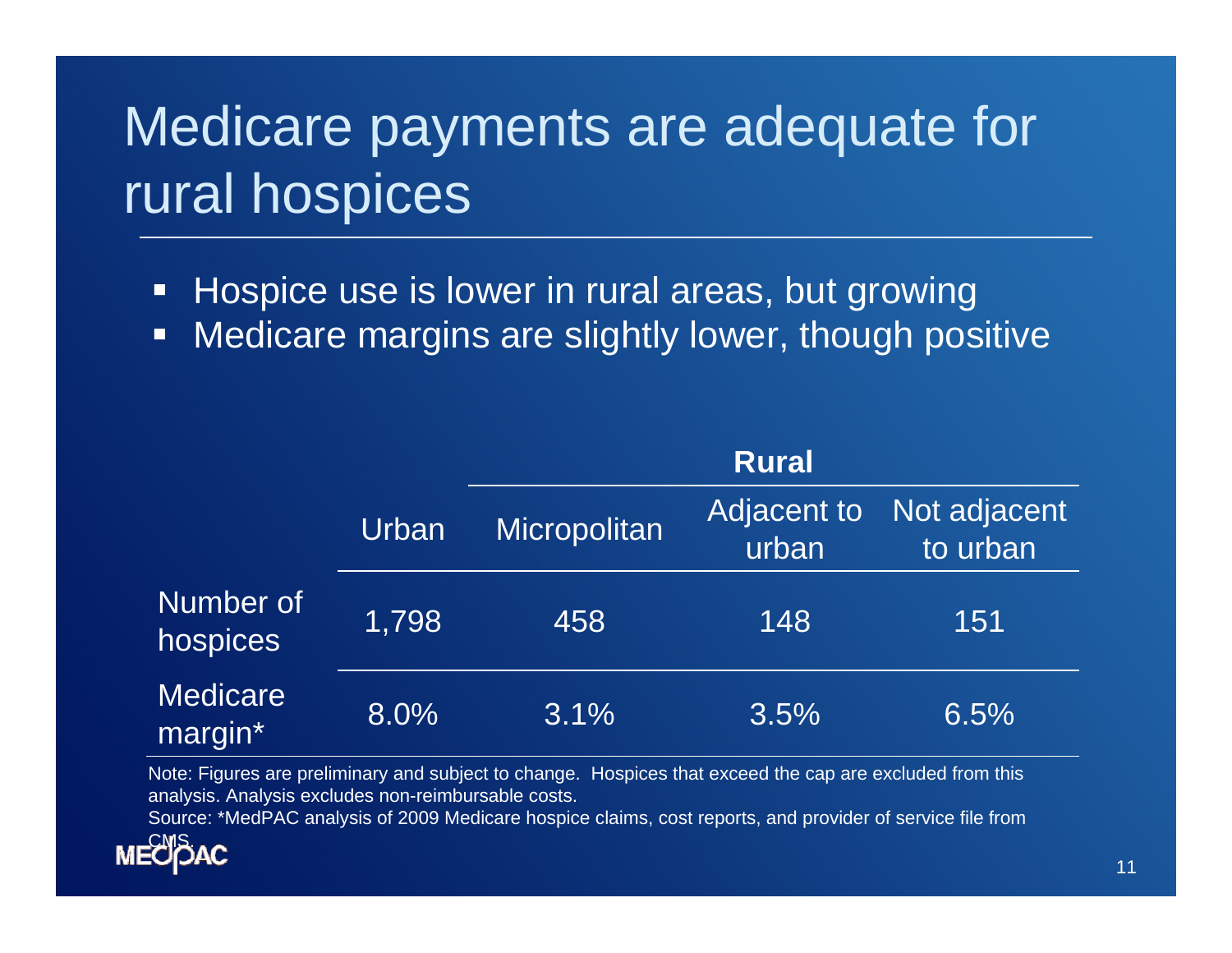# Medicare payments are adequate for rural hospices

- $\Box$ Hospice use is lower in rural areas, but growing
- o Medicare margins are slightly lower, though positive

|                            |       | Rural        |                      |                          |
|----------------------------|-------|--------------|----------------------|--------------------------|
|                            | Urban | Micropolitan | Adjacent to<br>urban | Not adjacent<br>to urban |
| Number of<br>hospices      | 1,798 | 458          | 148                  | 151                      |
| <b>Medicare</b><br>margin* | 8.0%  | 3.1%         | 3.5%                 | 6.5%                     |

Note: Figures are preliminary and subject to change. Hospices that exceed the cap are excluded from this analysis. Analysis excludes non-reimbursable costs.

Source: \*MedPAC analysis of 2009 Medicare hospice claims, cost reports, and provider of service file from

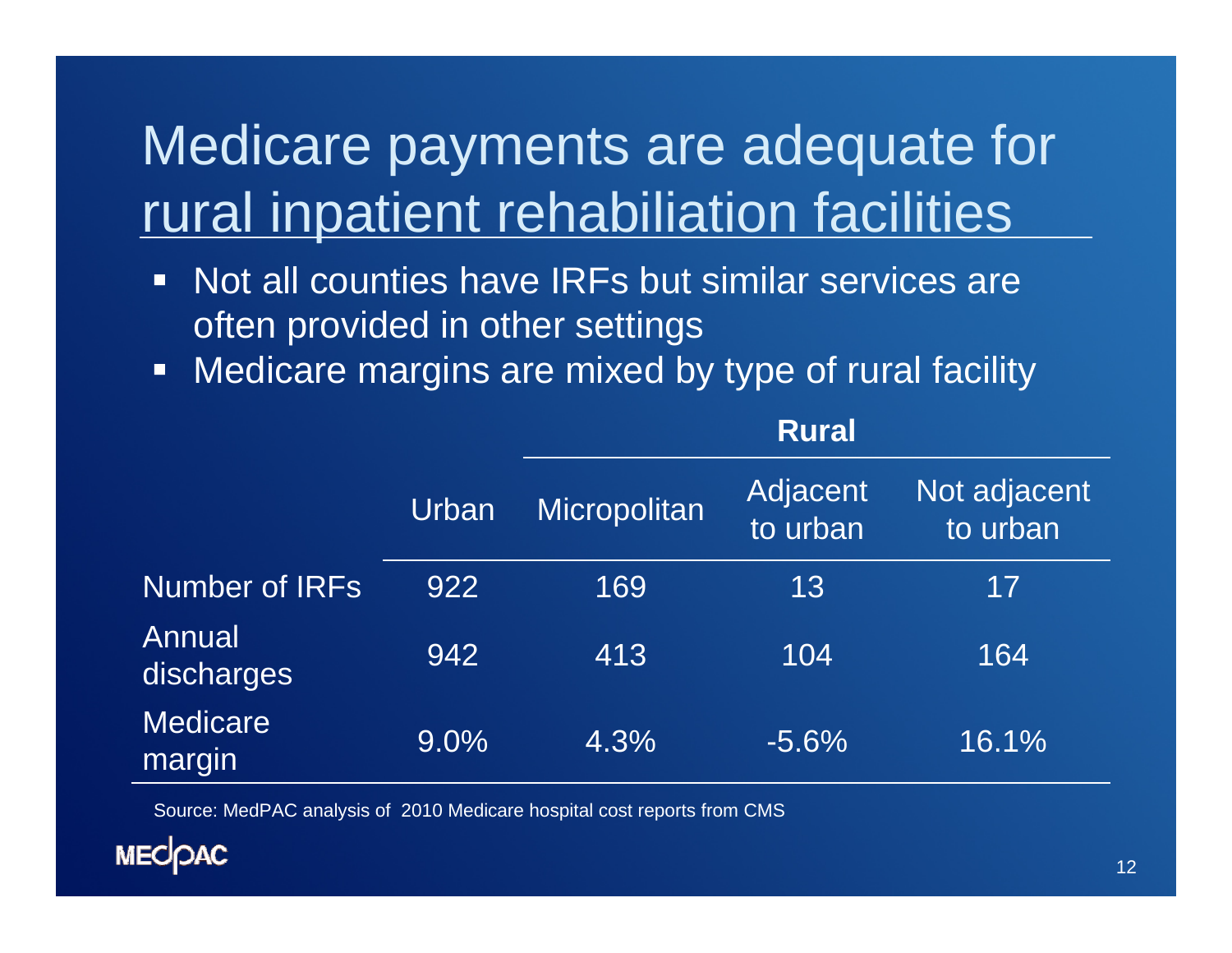## Medicare payments are adequate for rural inpatient rehabiliation facilities

- $\Box$  Not all counties have IRFs but similar services are often provided in other settings
- $\Box$ Medicare margins are mixed by type of rural facility

|                           |       | <b>Rural</b> |                      |                                       |
|---------------------------|-------|--------------|----------------------|---------------------------------------|
|                           | Urban | Micropolitan | Adjacent<br>to urban | Not adjacent<br>to urban <sup>1</sup> |
| <b>Number of IRFs</b>     | 922   | 169          | 13                   | 17                                    |
| Annual<br>discharges      | 942   | 413          | 104                  | 164                                   |
| <b>Medicare</b><br>margin | 9.0%  | 4.3%         | $-5.6%$              | 16.1%                                 |

Source: MedPAC analysis of 2010 Medicare hospital cost reports from CMS

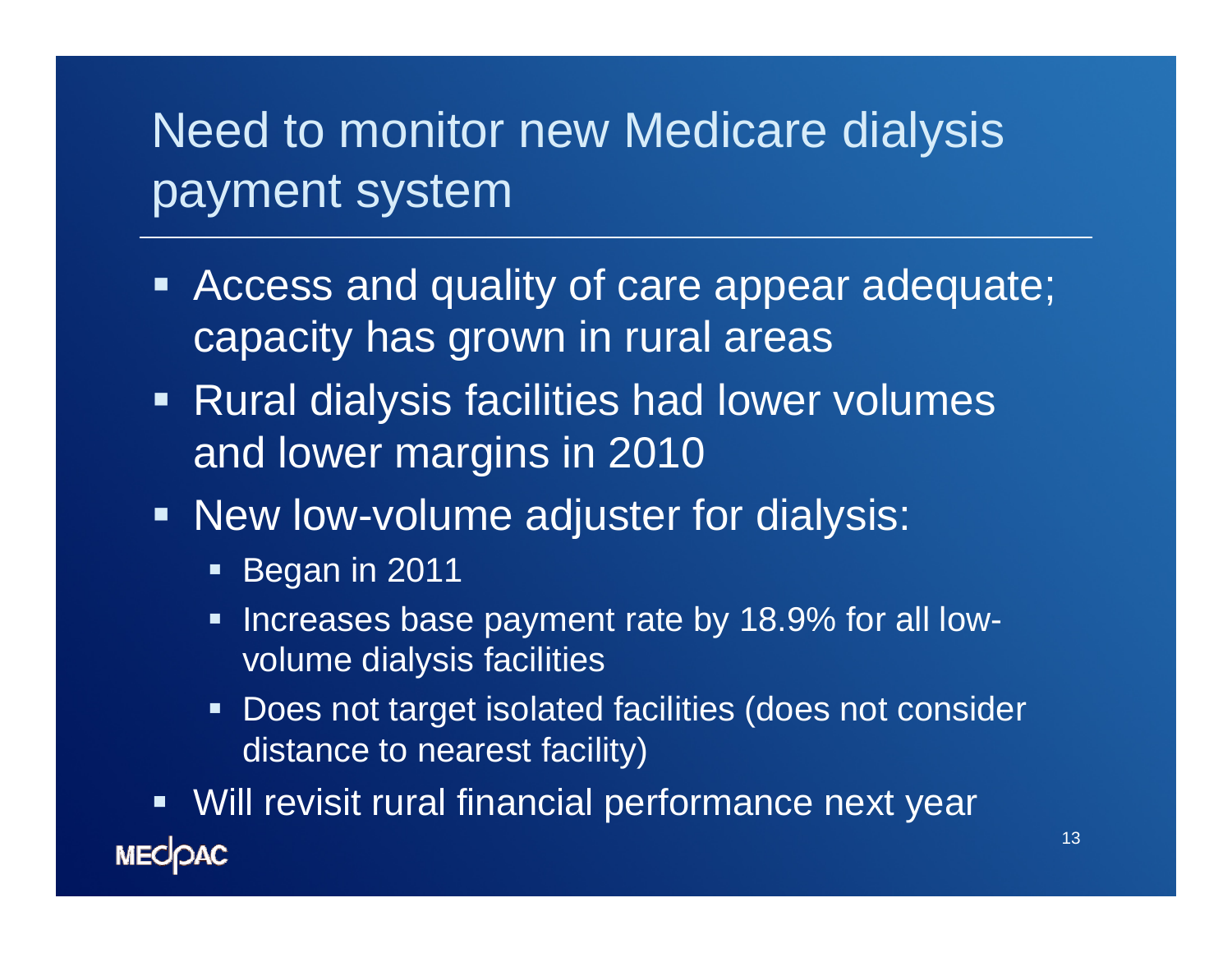#### Need to monitor new Medicare dialysis payment system

- $\blacksquare$  Access and quality of care appear adequate; capacity has grown in rural areas
- **Rural dialysis facilities had lower volumes** and lower margins in 2010
- **New low-volume adjuster for dialysis:** 
	- **Began in 2011**
	- $\blacksquare$  Increases base payment rate by 18.9% for all lowvolume dialysis facilities
	- $\blacksquare$  : Does not target isolated facilities (does not consider distance to nearest facility)
- **Will revisit rural financial performance next year MECOAC**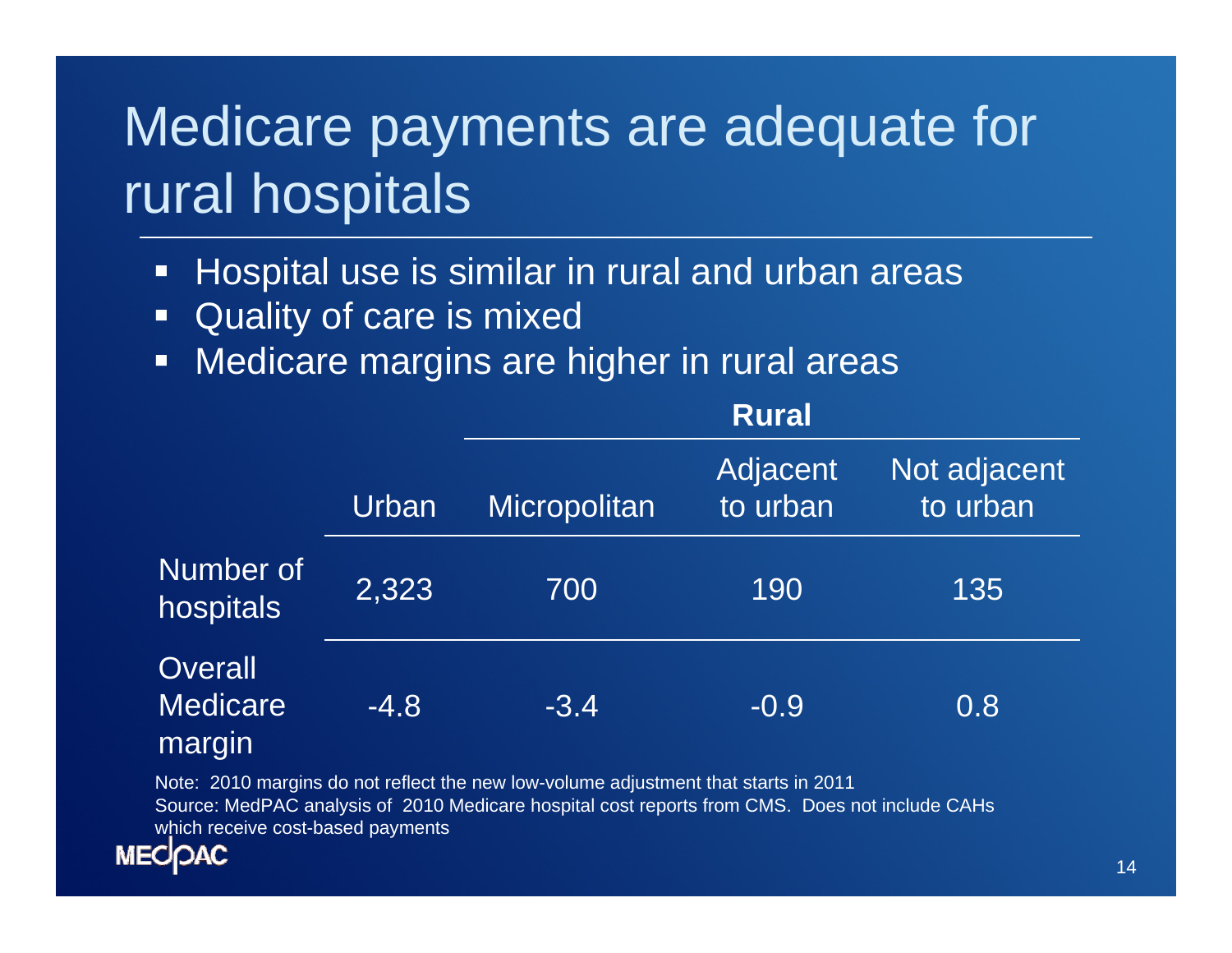# Medicare payments are adequate for rural hospitals

- $\Box$ Hospital use is similar in rural and urban areas
- $\Box$ Quality of care is mixed
- $\Box$ Medicare margins are higher in rural areas

|                                      |        | <b>Rural</b> |                      |                          |
|--------------------------------------|--------|--------------|----------------------|--------------------------|
|                                      | Urban  | Micropolitan | Adjacent<br>to urban | Not adjacent<br>to urban |
| Number of<br>hospitals               | 2,323  | 700          | 190                  | 135                      |
| Overall<br><b>Medicare</b><br>margin | $-4.8$ | $-3.4$       | $-0.9$               | 0.8                      |

Note: 2010 margins do not reflect the new low-volume adjustment that starts in 2011 Source: MedPAC analysis of 2010 Medicare hospital cost reports from CMS. Does not include CAHs which receive cost-based payments

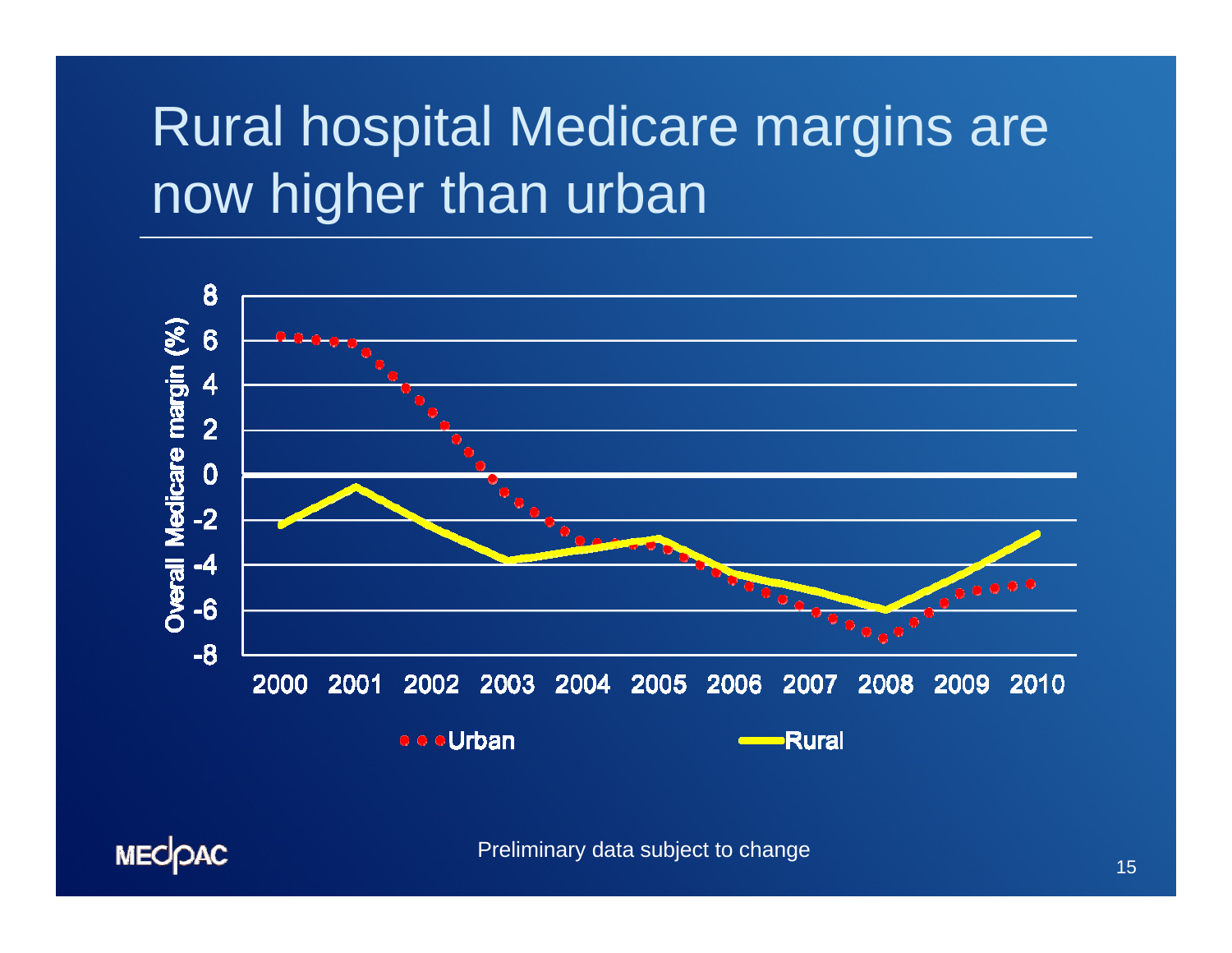# Rural hospital Medicare margins are now higher than urban



Preliminary data subject to change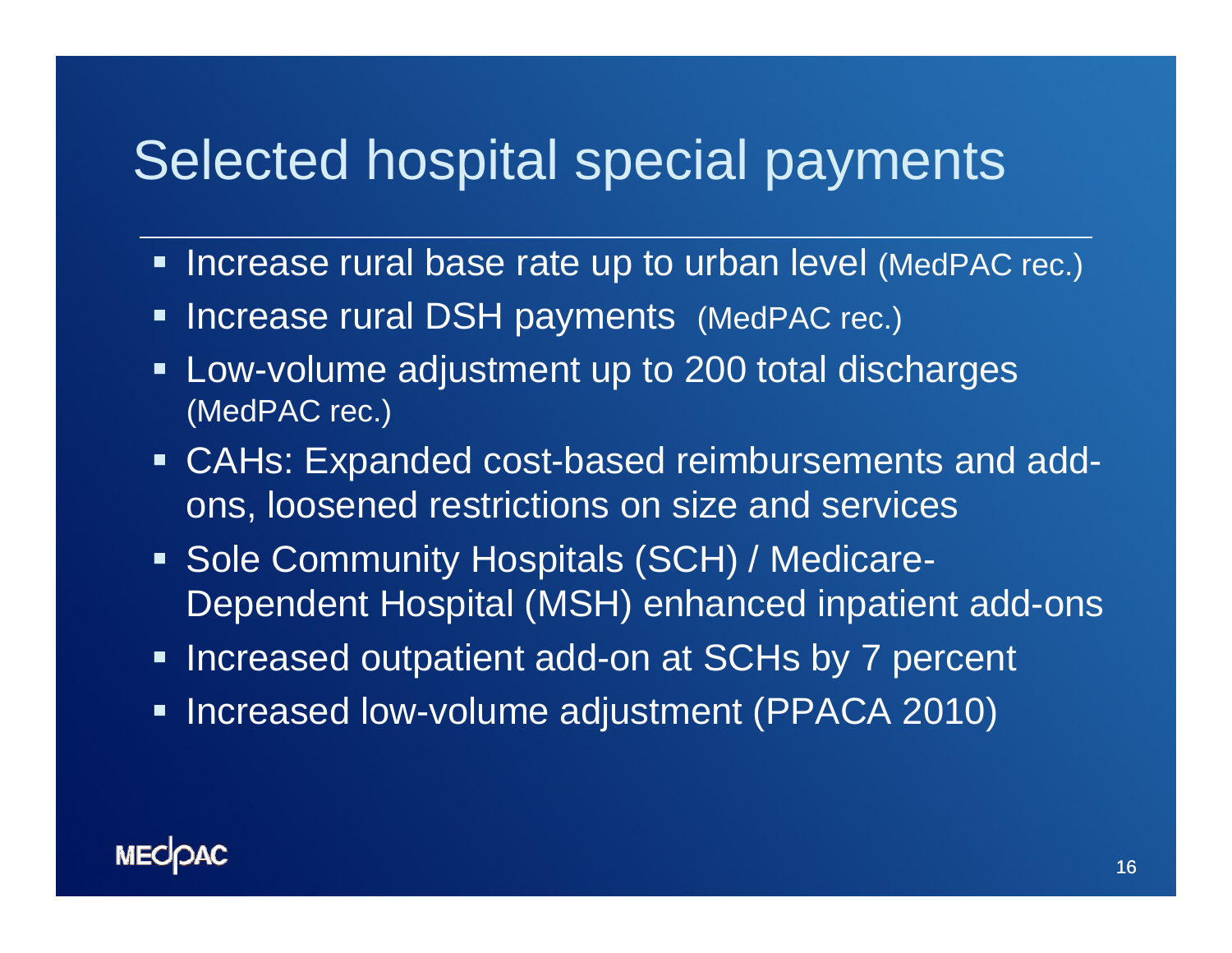#### Selected hospital special payments

- **Increase rural base rate up to urban level (MedPAC rec.)**
- **Increase rural DSH payments (MedPAC rec.)**
- $\blacksquare$  Low-volume adjustment up to 200 total discharges (MedPAC rec.)
- CAHs: Expanded cost-based reimbursements and addons, loosened restrictions on size and services
- Sole Community Hospitals (SCH) / Medicare-Dependent Hospital (MSH) enhanced inpatient add-ons
- **Increased outpatient add-on at SCHs by 7 percent**
- $\blacksquare$ Increased low-volume adjustment (PPACA 2010)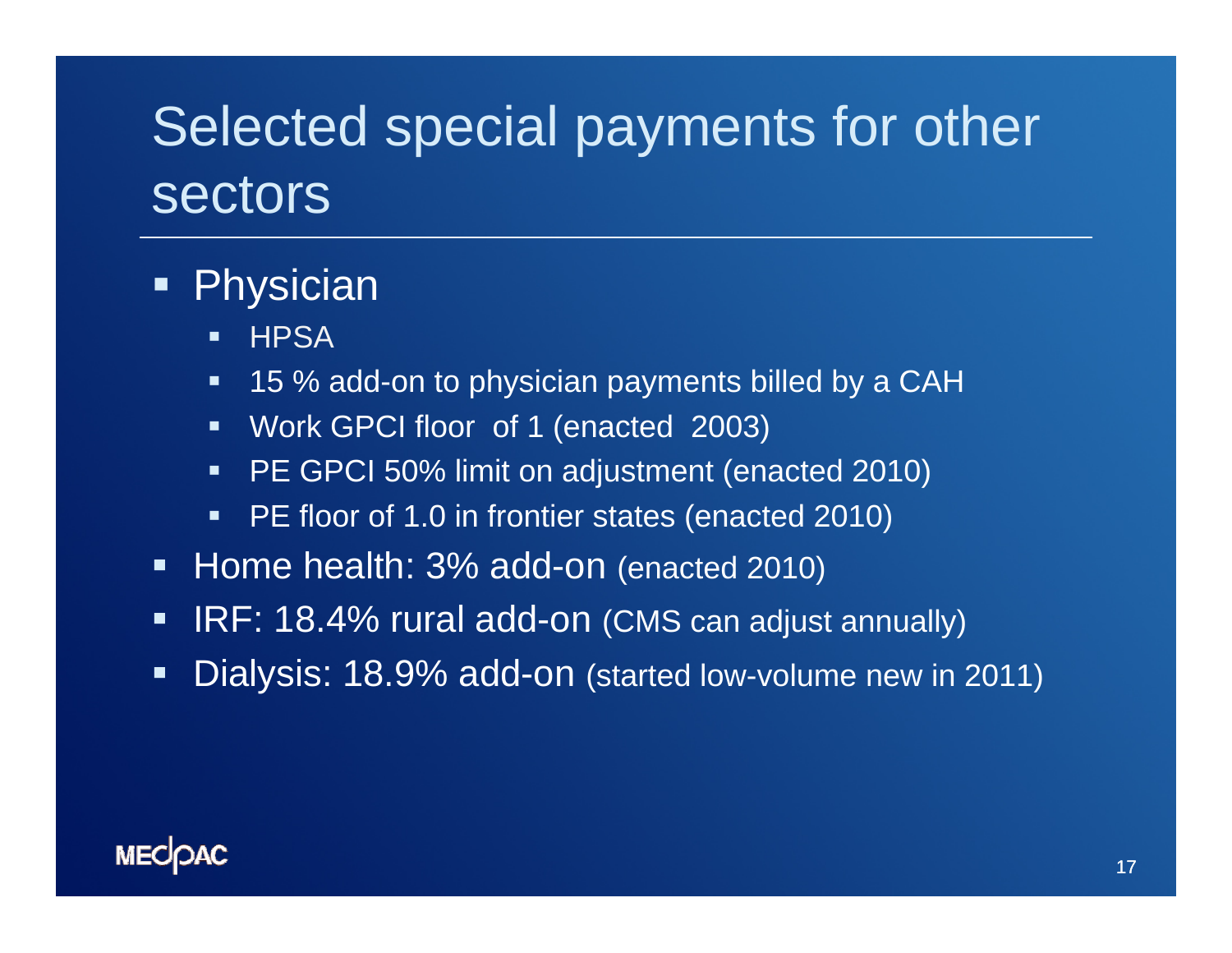## Selected special payments for other sectors

#### Physician

- $\blacksquare$ **HPSA**
- $\blacksquare$ 15 % add-on to physician payments billed by a CAH
- Work GPCI floor of 1 (enacted 2003)
- $\blacksquare$  . PE GPCI 50% limit on adjustment (enacted 2010)
- $\blacksquare$  . PE floor of 1.0 in frontier states (enacted 2010)
- $\blacksquare$ Home health: 3% add-on (enacted 2010)
- $\blacksquare$ IRF: 18.4% rural add-on (CMS can adjust annually)
- $\blacksquare$ Dialysis: 18.9% add-on (started low-volume new in 2011)

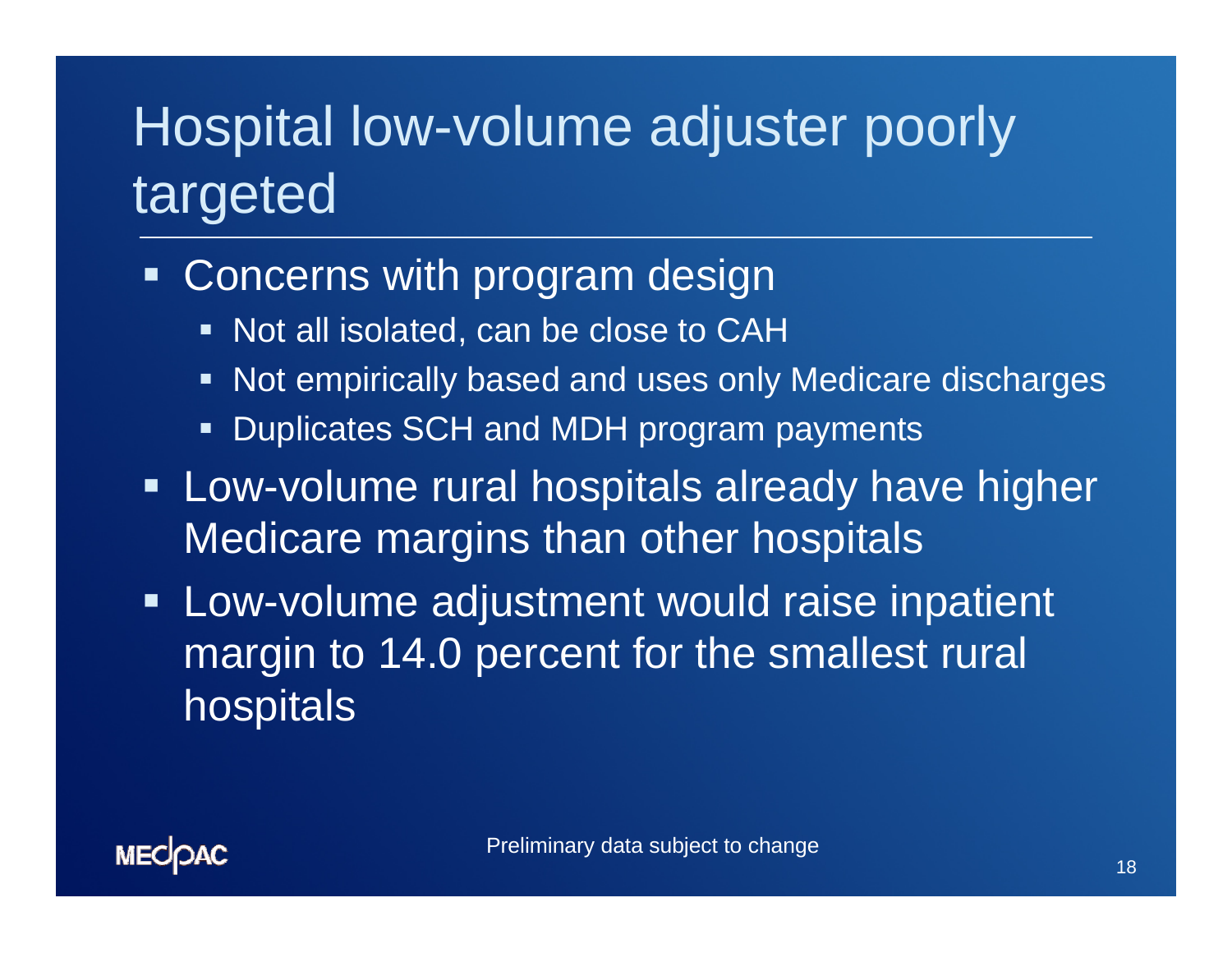# Hospital low-volume adjuster poorly targeted

- **Example 2 Figure Concerns with program design** 
	- $\blacksquare$ Not all isolated, can be close to CAH
	- $\blacksquare$ Not empirically based and uses only Medicare discharges
	- $\blacksquare$ Duplicates SCH and MDH program payments
- **Example 11 Fig. 2** Low-volume rural hospitals already have higher Medicare margins than other hospitals
- **Low-volume adjustment would raise inpatient** margin to 14.0 percent for the smallest rural **hospitals**

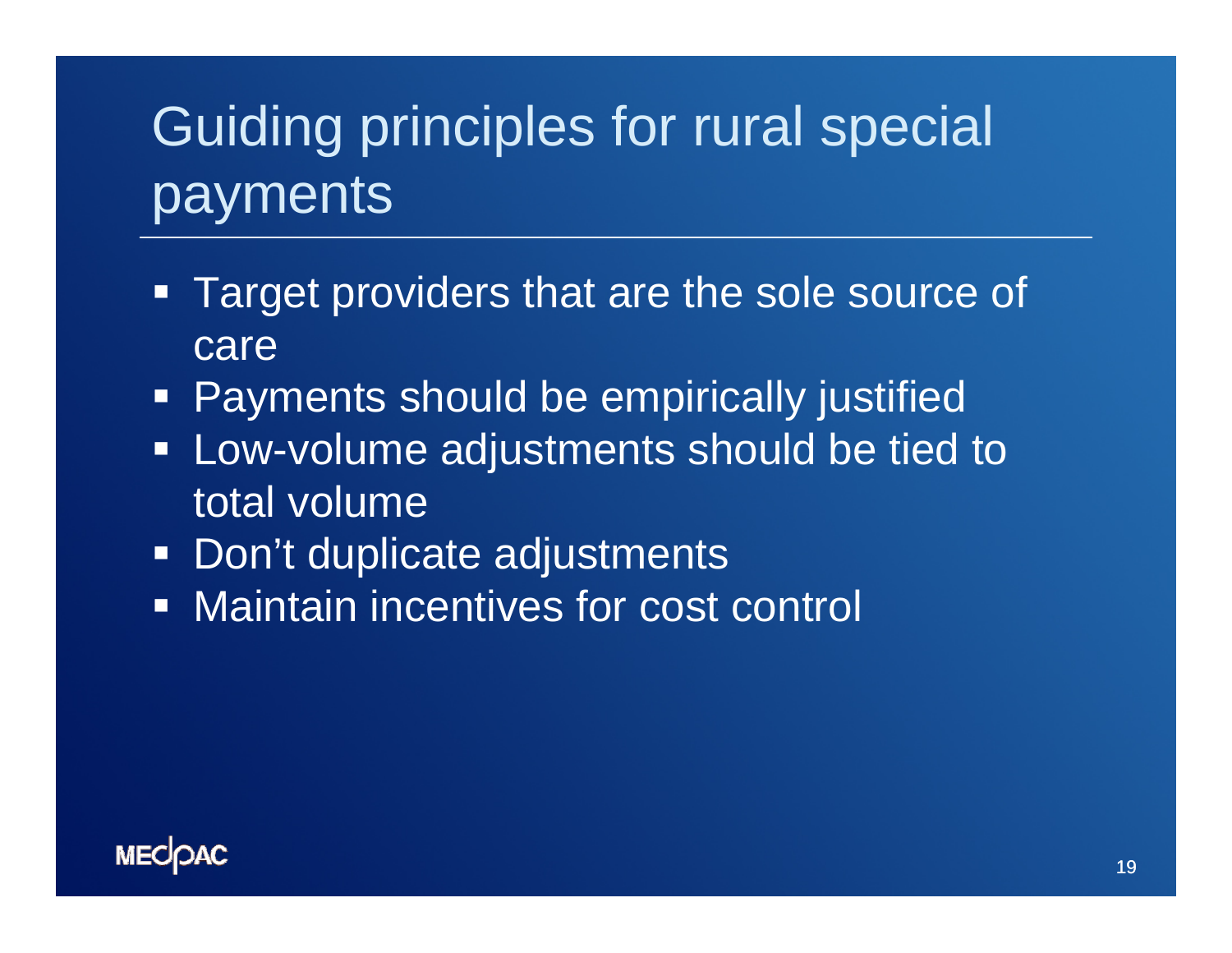# Guiding principles for rural special payments

- $\Box$  Target providers that are the sole source of care
- **Payments should be empirically justified**
- **EXA:** Low-volume adjustments should be tied to total volume
- Don't duplicate adjustments
- O, Maintain incentives for cost control